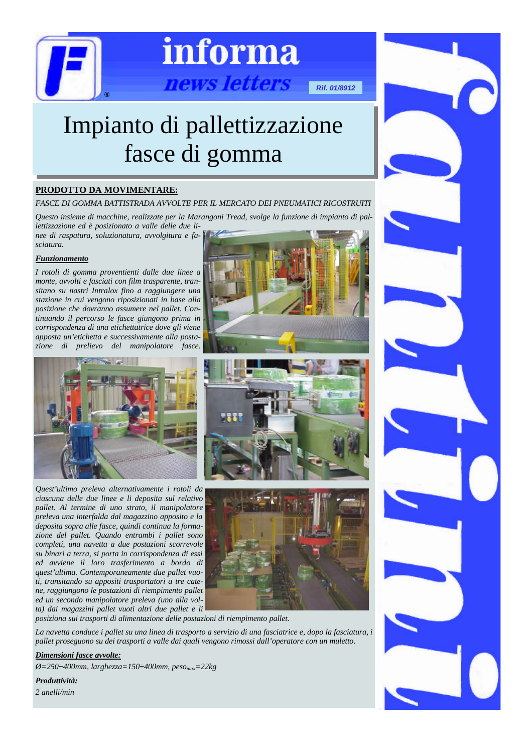

# informa

ews letters

*Rif. 01/8912*

## Impianto di pallettizzazione fasce di gomma

### **PRODOTTO DA MOVIMENTARE:**

*FASCE DI GOMMA BATTISTRADA AVVOLTE PER IL MERCATO DEI PNEUMATICI RICOSTRUITI*

*Questo insieme di macchine, realizzate per la Marangoni Tread, svolge la funzione di impianto di pallettizzazione ed è posizionato a valle delle due li-*

*nee di raspatura, soluzionatura, avvolgitura e fasciatura.*

### *Funzionamento*

*I rotoli di gomma proventienti dalle due linee a monte, avvolti e fasciati con film trasparente, transitano su nastri Intralox fino a raggiungere una stazione in cui vengono riposizionati in base alla posizione che dovranno assumere nel pallet. Continuando il percorso le fasce giungono prima in corrispondenza di una etichettatrice dove gli viene apposta un'etichetta e successivamente alla postazione di prelievo del manipolatore fasce.*



*Quest'ultimo preleva alternativamente i rotoli da ciascuna delle due linee e li deposita sul relativo pallet. Al termine di uno strato, il manipolatore preleva una interfalda dal magazzino apposito e la deposita sopra alle fasce, quindi continua la formazione del pallet. Quando entrambi i pallet sono completi, una navetta a due postazioni scorrevole su binari a terra, si porta in corrispondenza di essi ed avviene il loro trasferimento a bordo di quest'ultima. Contemporaneamente due pallet vuoti, transitando su appositi trasportatori a tre catene, raggiungono le postazioni di riempimento pallet ed un secondo manipolatore preleva (uno alla volta) dai magazzini pallet vuoti altri due pallet e li*





*posiziona sui trasporti di alimentazione delle postazioni di riempimento pallet.*

*La navetta conduce i pallet su una linea di trasporto a servizio di una fasciatrice e, dopo la fasciatura, i pallet proseguono su dei trasporti a valle dai quali vengono rimossi dall'operatore con un muletto.*

### *Dimensioni fasce avvolte:*

*Ø=250÷400mm, larghezza=150÷400mm, pesomax=22kg*

*Produttività:*

*2 anelli/min*